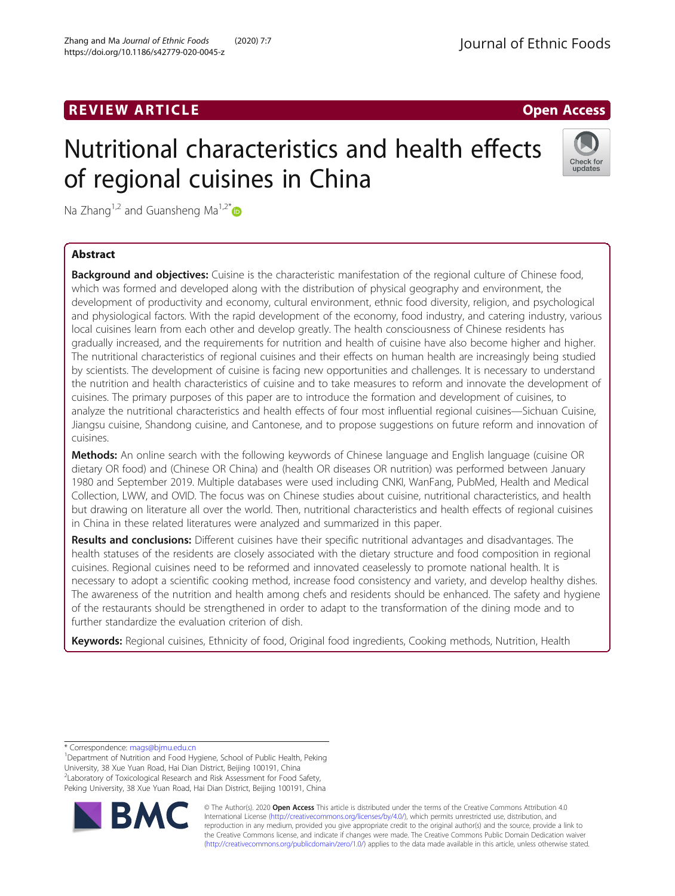# REVIEW ARTICLE **External of the Contract Contract Contract Contract Contract Contract Contract Contract Contract Contract Contract Contract Contract Contract Contract Contract Contract Contract Contract Contract Contract C**

# Nutritional characteristics and health effects of regional cuisines in China



Na Zhang<sup>1,2</sup> and Guansheng Ma<sup>1,2[\\*](http://orcid.org/0000-0001-8022-4597)</sup>

# Abstract

**Background and objectives:** Cuisine is the characteristic manifestation of the regional culture of Chinese food, which was formed and developed along with the distribution of physical geography and environment, the development of productivity and economy, cultural environment, ethnic food diversity, religion, and psychological and physiological factors. With the rapid development of the economy, food industry, and catering industry, various local cuisines learn from each other and develop greatly. The health consciousness of Chinese residents has gradually increased, and the requirements for nutrition and health of cuisine have also become higher and higher. The nutritional characteristics of regional cuisines and their effects on human health are increasingly being studied by scientists. The development of cuisine is facing new opportunities and challenges. It is necessary to understand the nutrition and health characteristics of cuisine and to take measures to reform and innovate the development of cuisines. The primary purposes of this paper are to introduce the formation and development of cuisines, to analyze the nutritional characteristics and health effects of four most influential regional cuisines—Sichuan Cuisine, Jiangsu cuisine, Shandong cuisine, and Cantonese, and to propose suggestions on future reform and innovation of cuisines.

Methods: An online search with the following keywords of Chinese language and English language (cuisine OR dietary OR food) and (Chinese OR China) and (health OR diseases OR nutrition) was performed between January 1980 and September 2019. Multiple databases were used including CNKI, WanFang, PubMed, Health and Medical Collection, LWW, and OVID. The focus was on Chinese studies about cuisine, nutritional characteristics, and health but drawing on literature all over the world. Then, nutritional characteristics and health effects of regional cuisines in China in these related literatures were analyzed and summarized in this paper.

Results and conclusions: Different cuisines have their specific nutritional advantages and disadvantages. The health statuses of the residents are closely associated with the dietary structure and food composition in regional cuisines. Regional cuisines need to be reformed and innovated ceaselessly to promote national health. It is necessary to adopt a scientific cooking method, increase food consistency and variety, and develop healthy dishes. The awareness of the nutrition and health among chefs and residents should be enhanced. The safety and hygiene of the restaurants should be strengthened in order to adapt to the transformation of the dining mode and to further standardize the evaluation criterion of dish.

Keywords: Regional cuisines, Ethnicity of food, Original food ingredients, Cooking methods, Nutrition, Health

<sup>1</sup>Department of Nutrition and Food Hygiene, School of Public Health, Peking University, 38 Xue Yuan Road, Hai Dian District, Beijing 100191, China <sup>2</sup>Laboratory of Toxicological Research and Risk Assessment for Food Safety, Peking University, 38 Xue Yuan Road, Hai Dian District, Beijing 100191, China



© The Author(s). 2020 **Open Access** This article is distributed under the terms of the Creative Commons Attribution 4.0 International License [\(http://creativecommons.org/licenses/by/4.0/](http://creativecommons.org/licenses/by/4.0/)), which permits unrestricted use, distribution, and reproduction in any medium, provided you give appropriate credit to the original author(s) and the source, provide a link to the Creative Commons license, and indicate if changes were made. The Creative Commons Public Domain Dedication waiver [\(http://creativecommons.org/publicdomain/zero/1.0/](http://creativecommons.org/publicdomain/zero/1.0/)) applies to the data made available in this article, unless otherwise stated.

<sup>\*</sup> Correspondence: [mags@bjmu.edu.cn](mailto:mags@bjmu.edu.cn) <sup>1</sup>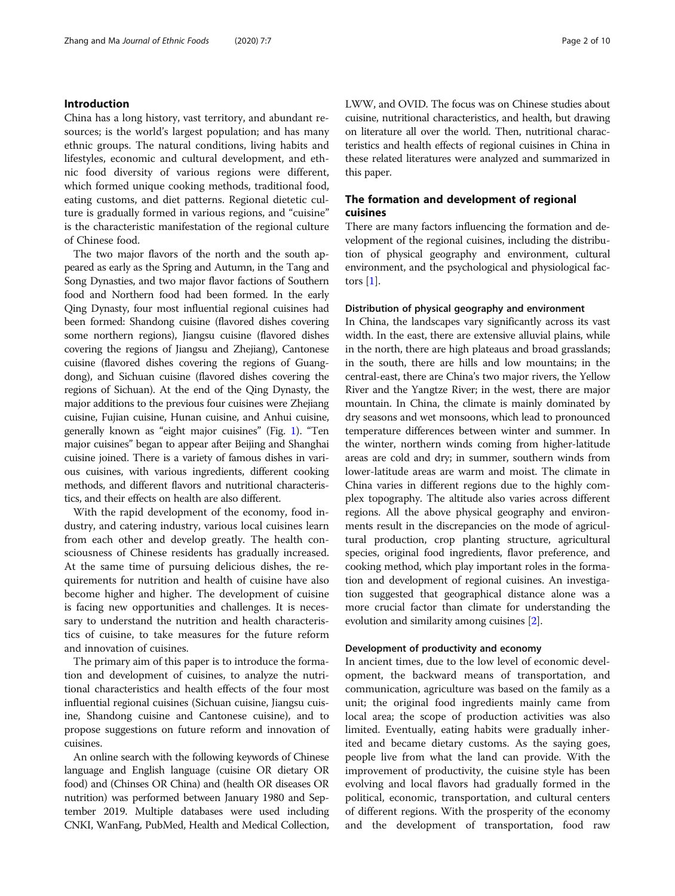# Introduction

China has a long history, vast territory, and abundant resources; is the world's largest population; and has many ethnic groups. The natural conditions, living habits and lifestyles, economic and cultural development, and ethnic food diversity of various regions were different, which formed unique cooking methods, traditional food, eating customs, and diet patterns. Regional dietetic culture is gradually formed in various regions, and "cuisine" is the characteristic manifestation of the regional culture of Chinese food.

The two major flavors of the north and the south appeared as early as the Spring and Autumn, in the Tang and Song Dynasties, and two major flavor factions of Southern food and Northern food had been formed. In the early Qing Dynasty, four most influential regional cuisines had been formed: Shandong cuisine (flavored dishes covering some northern regions), Jiangsu cuisine (flavored dishes covering the regions of Jiangsu and Zhejiang), Cantonese cuisine (flavored dishes covering the regions of Guangdong), and Sichuan cuisine (flavored dishes covering the regions of Sichuan). At the end of the Qing Dynasty, the major additions to the previous four cuisines were Zhejiang cuisine, Fujian cuisine, Hunan cuisine, and Anhui cuisine, generally known as "eight major cuisines" (Fig. [1](#page-2-0)). "Ten major cuisines" began to appear after Beijing and Shanghai cuisine joined. There is a variety of famous dishes in various cuisines, with various ingredients, different cooking methods, and different flavors and nutritional characteristics, and their effects on health are also different.

With the rapid development of the economy, food industry, and catering industry, various local cuisines learn from each other and develop greatly. The health consciousness of Chinese residents has gradually increased. At the same time of pursuing delicious dishes, the requirements for nutrition and health of cuisine have also become higher and higher. The development of cuisine is facing new opportunities and challenges. It is necessary to understand the nutrition and health characteristics of cuisine, to take measures for the future reform and innovation of cuisines.

The primary aim of this paper is to introduce the formation and development of cuisines, to analyze the nutritional characteristics and health effects of the four most influential regional cuisines (Sichuan cuisine, Jiangsu cuisine, Shandong cuisine and Cantonese cuisine), and to propose suggestions on future reform and innovation of cuisines.

An online search with the following keywords of Chinese language and English language (cuisine OR dietary OR food) and (Chinses OR China) and (health OR diseases OR nutrition) was performed between January 1980 and September 2019. Multiple databases were used including CNKI, WanFang, PubMed, Health and Medical Collection, LWW, and OVID. The focus was on Chinese studies about cuisine, nutritional characteristics, and health, but drawing on literature all over the world. Then, nutritional characteristics and health effects of regional cuisines in China in these related literatures were analyzed and summarized in this paper.

# The formation and development of regional cuisines

There are many factors influencing the formation and development of the regional cuisines, including the distribution of physical geography and environment, cultural environment, and the psychological and physiological factors [[1\]](#page-8-0).

### Distribution of physical geography and environment

In China, the landscapes vary significantly across its vast width. In the east, there are extensive alluvial plains, while in the north, there are high plateaus and broad grasslands; in the south, there are hills and low mountains; in the central-east, there are China's two major rivers, the Yellow River and the Yangtze River; in the west, there are major mountain. In China, the climate is mainly dominated by dry seasons and wet monsoons, which lead to pronounced temperature differences between winter and summer. In the winter, northern winds coming from higher-latitude areas are cold and dry; in summer, southern winds from lower-latitude areas are warm and moist. The climate in China varies in different regions due to the highly complex topography. The altitude also varies across different regions. All the above physical geography and environments result in the discrepancies on the mode of agricultural production, crop planting structure, agricultural species, original food ingredients, flavor preference, and cooking method, which play important roles in the formation and development of regional cuisines. An investigation suggested that geographical distance alone was a more crucial factor than climate for understanding the evolution and similarity among cuisines [\[2\]](#page-8-0).

### Development of productivity and economy

In ancient times, due to the low level of economic development, the backward means of transportation, and communication, agriculture was based on the family as a unit; the original food ingredients mainly came from local area; the scope of production activities was also limited. Eventually, eating habits were gradually inherited and became dietary customs. As the saying goes, people live from what the land can provide. With the improvement of productivity, the cuisine style has been evolving and local flavors had gradually formed in the political, economic, transportation, and cultural centers of different regions. With the prosperity of the economy and the development of transportation, food raw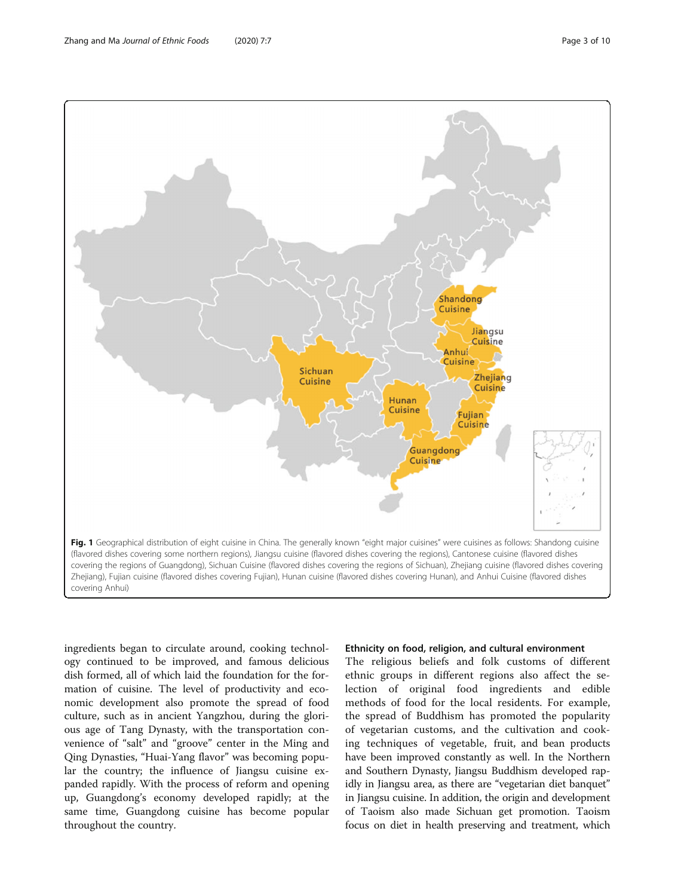<span id="page-2-0"></span>

ingredients began to circulate around, cooking technology continued to be improved, and famous delicious dish formed, all of which laid the foundation for the formation of cuisine. The level of productivity and economic development also promote the spread of food culture, such as in ancient Yangzhou, during the glorious age of Tang Dynasty, with the transportation convenience of "salt" and "groove" center in the Ming and Qing Dynasties, "Huai-Yang flavor" was becoming popular the country; the influence of Jiangsu cuisine expanded rapidly. With the process of reform and opening up, Guangdong's economy developed rapidly; at the same time, Guangdong cuisine has become popular throughout the country.

# Ethnicity on food, religion, and cultural environment

The religious beliefs and folk customs of different ethnic groups in different regions also affect the selection of original food ingredients and edible methods of food for the local residents. For example, the spread of Buddhism has promoted the popularity of vegetarian customs, and the cultivation and cooking techniques of vegetable, fruit, and bean products have been improved constantly as well. In the Northern and Southern Dynasty, Jiangsu Buddhism developed rapidly in Jiangsu area, as there are "vegetarian diet banquet" in Jiangsu cuisine. In addition, the origin and development of Taoism also made Sichuan get promotion. Taoism focus on diet in health preserving and treatment, which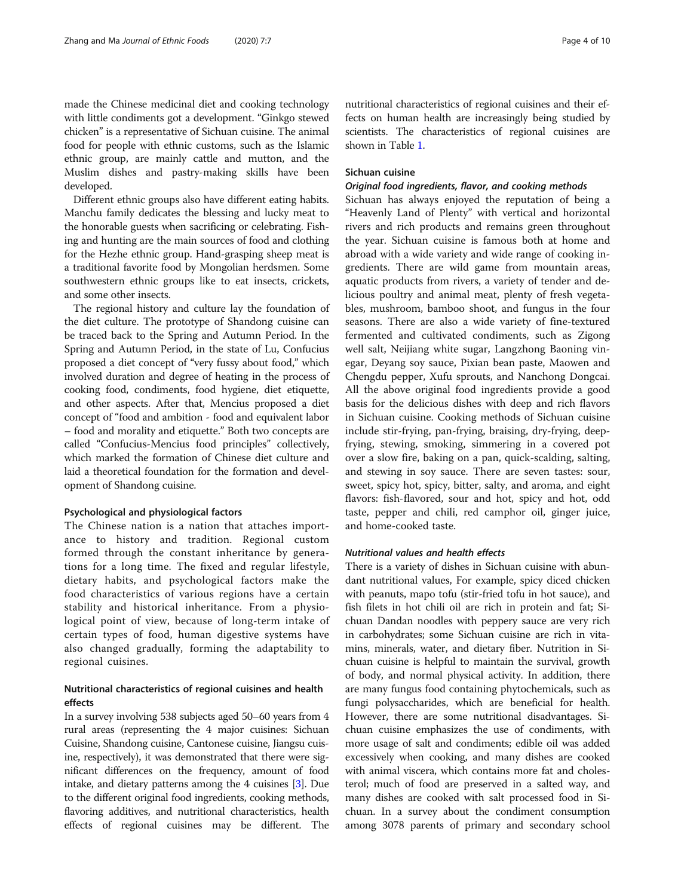made the Chinese medicinal diet and cooking technology with little condiments got a development. "Ginkgo stewed chicken" is a representative of Sichuan cuisine. The animal food for people with ethnic customs, such as the Islamic ethnic group, are mainly cattle and mutton, and the Muslim dishes and pastry-making skills have been developed.

Different ethnic groups also have different eating habits. Manchu family dedicates the blessing and lucky meat to the honorable guests when sacrificing or celebrating. Fishing and hunting are the main sources of food and clothing for the Hezhe ethnic group. Hand-grasping sheep meat is a traditional favorite food by Mongolian herdsmen. Some southwestern ethnic groups like to eat insects, crickets, and some other insects.

The regional history and culture lay the foundation of the diet culture. The prototype of Shandong cuisine can be traced back to the Spring and Autumn Period. In the Spring and Autumn Period, in the state of Lu, Confucius proposed a diet concept of "very fussy about food," which involved duration and degree of heating in the process of cooking food, condiments, food hygiene, diet etiquette, and other aspects. After that, Mencius proposed a diet concept of "food and ambition - food and equivalent labor – food and morality and etiquette." Both two concepts are called "Confucius-Mencius food principles" collectively, which marked the formation of Chinese diet culture and laid a theoretical foundation for the formation and development of Shandong cuisine.

### Psychological and physiological factors

The Chinese nation is a nation that attaches importance to history and tradition. Regional custom formed through the constant inheritance by generations for a long time. The fixed and regular lifestyle, dietary habits, and psychological factors make the food characteristics of various regions have a certain stability and historical inheritance. From a physiological point of view, because of long-term intake of certain types of food, human digestive systems have also changed gradually, forming the adaptability to regional cuisines.

# Nutritional characteristics of regional cuisines and health effects

In a survey involving 538 subjects aged 50–60 years from 4 rural areas (representing the 4 major cuisines: Sichuan Cuisine, Shandong cuisine, Cantonese cuisine, Jiangsu cuisine, respectively), it was demonstrated that there were significant differences on the frequency, amount of food intake, and dietary patterns among the 4 cuisines [\[3\]](#page-8-0). Due to the different original food ingredients, cooking methods, flavoring additives, and nutritional characteristics, health effects of regional cuisines may be different. The nutritional characteristics of regional cuisines and their effects on human health are increasingly being studied by scientists. The characteristics of regional cuisines are shown in Table [1](#page-4-0).

### Sichuan cuisine

#### Original food ingredients, flavor, and cooking methods

Sichuan has always enjoyed the reputation of being a "Heavenly Land of Plenty" with vertical and horizontal rivers and rich products and remains green throughout the year. Sichuan cuisine is famous both at home and abroad with a wide variety and wide range of cooking ingredients. There are wild game from mountain areas, aquatic products from rivers, a variety of tender and delicious poultry and animal meat, plenty of fresh vegetables, mushroom, bamboo shoot, and fungus in the four seasons. There are also a wide variety of fine-textured fermented and cultivated condiments, such as Zigong well salt, Neijiang white sugar, Langzhong Baoning vinegar, Deyang soy sauce, Pixian bean paste, Maowen and Chengdu pepper, Xufu sprouts, and Nanchong Dongcai. All the above original food ingredients provide a good basis for the delicious dishes with deep and rich flavors in Sichuan cuisine. Cooking methods of Sichuan cuisine include stir-frying, pan-frying, braising, dry-frying, deepfrying, stewing, smoking, simmering in a covered pot over a slow fire, baking on a pan, quick-scalding, salting, and stewing in soy sauce. There are seven tastes: sour, sweet, spicy hot, spicy, bitter, salty, and aroma, and eight flavors: fish-flavored, sour and hot, spicy and hot, odd taste, pepper and chili, red camphor oil, ginger juice, and home-cooked taste.

# Nutritional values and health effects

There is a variety of dishes in Sichuan cuisine with abundant nutritional values, For example, spicy diced chicken with peanuts, mapo tofu (stir-fried tofu in hot sauce), and fish filets in hot chili oil are rich in protein and fat; Sichuan Dandan noodles with peppery sauce are very rich in carbohydrates; some Sichuan cuisine are rich in vitamins, minerals, water, and dietary fiber. Nutrition in Sichuan cuisine is helpful to maintain the survival, growth of body, and normal physical activity. In addition, there are many fungus food containing phytochemicals, such as fungi polysaccharides, which are beneficial for health. However, there are some nutritional disadvantages. Sichuan cuisine emphasizes the use of condiments, with more usage of salt and condiments; edible oil was added excessively when cooking, and many dishes are cooked with animal viscera, which contains more fat and cholesterol; much of food are preserved in a salted way, and many dishes are cooked with salt processed food in Sichuan. In a survey about the condiment consumption among 3078 parents of primary and secondary school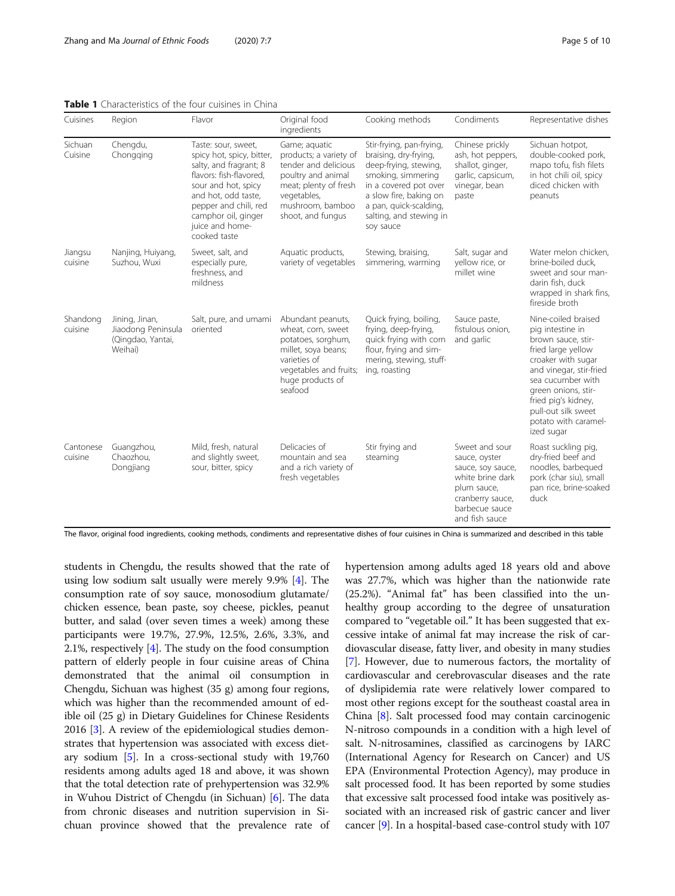<span id="page-4-0"></span>

| Cuisines             | Region                                                               | Flavor                                                                                                                                                                                                                                 | Original food<br>ingredients                                                                                                                                           | Cooking methods                                                                                                                                                                                                       | Condiments                                                                                                                    | Representative dishes                                                                                                                                                                                                                                                |
|----------------------|----------------------------------------------------------------------|----------------------------------------------------------------------------------------------------------------------------------------------------------------------------------------------------------------------------------------|------------------------------------------------------------------------------------------------------------------------------------------------------------------------|-----------------------------------------------------------------------------------------------------------------------------------------------------------------------------------------------------------------------|-------------------------------------------------------------------------------------------------------------------------------|----------------------------------------------------------------------------------------------------------------------------------------------------------------------------------------------------------------------------------------------------------------------|
| Sichuan<br>Cuisine   | Chengdu,<br>Chongging                                                | Taste: sour, sweet,<br>spicy hot, spicy, bitter,<br>salty, and fragrant; 8<br>flavors: fish-flavored,<br>sour and hot, spicy<br>and hot, odd taste,<br>pepper and chili, red<br>camphor oil, ginger<br>juice and home-<br>cooked taste | Game; aquatic<br>products; a variety of<br>tender and delicious<br>poultry and animal<br>meat; plenty of fresh<br>vegetables,<br>mushroom, bamboo<br>shoot, and fungus | Stir-frying, pan-frying,<br>braising, dry-frying,<br>deep-frying, stewing,<br>smoking, simmering<br>in a covered pot over<br>a slow fire, baking on<br>a pan, quick-scalding,<br>salting, and stewing in<br>soy sauce | Chinese prickly<br>ash, hot peppers,<br>shallot, ginger,<br>garlic, capsicum,<br>vinegar, bean<br>paste                       | Sichuan hotpot,<br>double-cooked pork,<br>mapo tofu, fish filets<br>in hot chili oil, spicy<br>diced chicken with<br>peanuts                                                                                                                                         |
| Jiangsu<br>cuisine   | Nanjing, Huiyang,<br>Suzhou, Wuxi                                    | Sweet, salt, and<br>especially pure,<br>freshness, and<br>mildness                                                                                                                                                                     | Aquatic products,<br>variety of vegetables                                                                                                                             | Stewing, braising,<br>simmering, warming                                                                                                                                                                              | Salt, sugar and<br>yellow rice, or<br>millet wine                                                                             | Water melon chicken,<br>brine-boiled duck,<br>sweet and sour man-<br>darin fish, duck<br>wrapped in shark fins,<br>fireside broth                                                                                                                                    |
| Shandong<br>cuisine  | Jining, Jinan,<br>Jiaodong Peninsula<br>(Qingdao, Yantai,<br>Weihai) | Salt, pure, and umami<br>oriented                                                                                                                                                                                                      | Abundant peanuts,<br>wheat, corn, sweet<br>potatoes, sorghum,<br>millet, soya beans;<br>varieties of<br>vegetables and fruits;<br>huge products of<br>seafood          | Quick frying, boiling,<br>frying, deep-frying,<br>quick frying with corn<br>flour, frying and sim-<br>mering, stewing, stuff-<br>ing, roasting                                                                        | Sauce paste,<br>fistulous onion,<br>and garlic                                                                                | Nine-coiled braised<br>pig intestine in<br>brown sauce, stir-<br>fried large yellow<br>croaker with sugar<br>and vinegar, stir-fried<br>sea cucumber with<br>green onions, stir-<br>fried pig's kidney,<br>pull-out silk sweet<br>potato with caramel-<br>ized sugar |
| Cantonese<br>cuisine | Guangzhou,<br>Chaozhou,<br>Dongjiang                                 | Mild, fresh, natural<br>and slightly sweet,<br>sour, bitter, spicy                                                                                                                                                                     | Delicacies of<br>mountain and sea<br>and a rich variety of<br>fresh vegetables                                                                                         | Stir frying and<br>steaming                                                                                                                                                                                           | Sweet and sour<br>sauce, oyster<br>sauce, soy sauce,<br>white brine dark<br>plum sauce,<br>cranberry sauce,<br>barbecue sauce | Roast suckling pig,<br>dry-fried beef and<br>noodles, barbequed<br>pork (char siu), small<br>pan rice, brine-soaked<br>duck                                                                                                                                          |

The flavor, original food ingredients, cooking methods, condiments and representative dishes of four cuisines in China is summarized and described in this table

students in Chengdu, the results showed that the rate of using low sodium salt usually were merely 9.9% [[4\]](#page-8-0). The consumption rate of soy sauce, monosodium glutamate/ chicken essence, bean paste, soy cheese, pickles, peanut butter, and salad (over seven times a week) among these participants were 19.7%, 27.9%, 12.5%, 2.6%, 3.3%, and 2.1%, respectively [\[4](#page-8-0)]. The study on the food consumption pattern of elderly people in four cuisine areas of China demonstrated that the animal oil consumption in Chengdu, Sichuan was highest (35 g) among four regions, which was higher than the recommended amount of edible oil (25 g) in Dietary Guidelines for Chinese Residents 2016 [\[3](#page-8-0)]. A review of the epidemiological studies demonstrates that hypertension was associated with excess dietary sodium  $[5]$ . In a cross-sectional study with 19,760 residents among adults aged 18 and above, it was shown that the total detection rate of prehypertension was 32.9% in Wuhou District of Chengdu (in Sichuan) [\[6\]](#page-8-0). The data from chronic diseases and nutrition supervision in Sichuan province showed that the prevalence rate of hypertension among adults aged 18 years old and above was 27.7%, which was higher than the nationwide rate (25.2%). "Animal fat" has been classified into the unhealthy group according to the degree of unsaturation compared to "vegetable oil." It has been suggested that excessive intake of animal fat may increase the risk of cardiovascular disease, fatty liver, and obesity in many studies [[7\]](#page-8-0). However, due to numerous factors, the mortality of cardiovascular and cerebrovascular diseases and the rate of dyslipidemia rate were relatively lower compared to most other regions except for the southeast coastal area in China [[8](#page-8-0)]. Salt processed food may contain carcinogenic N-nitroso compounds in a condition with a high level of salt. N-nitrosamines, classified as carcinogens by IARC (International Agency for Research on Cancer) and US EPA (Environmental Protection Agency), may produce in salt processed food. It has been reported by some studies that excessive salt processed food intake was positively associated with an increased risk of gastric cancer and liver cancer [[9\]](#page-8-0). In a hospital-based case-control study with 107

and fish sauce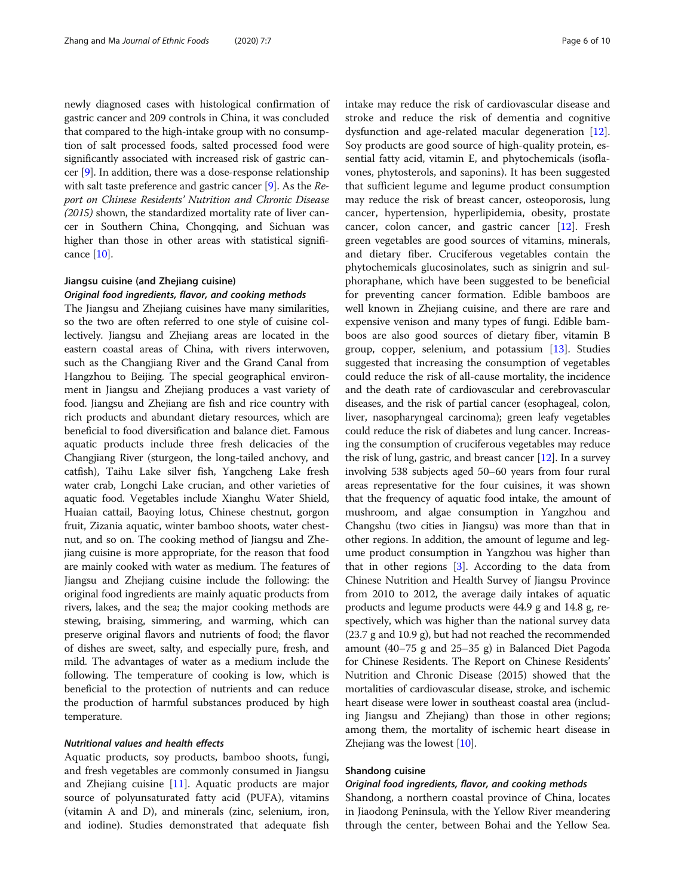newly diagnosed cases with histological confirmation of gastric cancer and 209 controls in China, it was concluded that compared to the high-intake group with no consumption of salt processed foods, salted processed food were significantly associated with increased risk of gastric cancer [[9](#page-8-0)]. In addition, there was a dose-response relationship with salt taste preference and gastric cancer [[9](#page-8-0)]. As the Report on Chinese Residents' Nutrition and Chronic Disease (2015) shown, the standardized mortality rate of liver cancer in Southern China, Chongqing, and Sichuan was higher than those in other areas with statistical significance [\[10\]](#page-8-0).

# Jiangsu cuisine (and Zhejiang cuisine) Original food ingredients, flavor, and cooking methods

The Jiangsu and Zhejiang cuisines have many similarities, so the two are often referred to one style of cuisine collectively. Jiangsu and Zhejiang areas are located in the eastern coastal areas of China, with rivers interwoven, such as the Changjiang River and the Grand Canal from Hangzhou to Beijing. The special geographical environment in Jiangsu and Zhejiang produces a vast variety of food. Jiangsu and Zhejiang are fish and rice country with rich products and abundant dietary resources, which are beneficial to food diversification and balance diet. Famous aquatic products include three fresh delicacies of the Changjiang River (sturgeon, the long-tailed anchovy, and catfish), Taihu Lake silver fish, Yangcheng Lake fresh water crab, Longchi Lake crucian, and other varieties of aquatic food. Vegetables include Xianghu Water Shield, Huaian cattail, Baoying lotus, Chinese chestnut, gorgon fruit, Zizania aquatic, winter bamboo shoots, water chestnut, and so on. The cooking method of Jiangsu and Zhejiang cuisine is more appropriate, for the reason that food are mainly cooked with water as medium. The features of Jiangsu and Zhejiang cuisine include the following: the original food ingredients are mainly aquatic products from rivers, lakes, and the sea; the major cooking methods are stewing, braising, simmering, and warming, which can preserve original flavors and nutrients of food; the flavor of dishes are sweet, salty, and especially pure, fresh, and mild. The advantages of water as a medium include the following. The temperature of cooking is low, which is beneficial to the protection of nutrients and can reduce the production of harmful substances produced by high temperature.

#### Nutritional values and health effects

Aquatic products, soy products, bamboo shoots, fungi, and fresh vegetables are commonly consumed in Jiangsu and Zhejiang cuisine  $[11]$  $[11]$  $[11]$ . Aquatic products are major source of polyunsaturated fatty acid (PUFA), vitamins (vitamin A and D), and minerals (zinc, selenium, iron, and iodine). Studies demonstrated that adequate fish intake may reduce the risk of cardiovascular disease and stroke and reduce the risk of dementia and cognitive dysfunction and age-related macular degeneration [\[12](#page-8-0)]. Soy products are good source of high-quality protein, essential fatty acid, vitamin E, and phytochemicals (isoflavones, phytosterols, and saponins). It has been suggested that sufficient legume and legume product consumption may reduce the risk of breast cancer, osteoporosis, lung cancer, hypertension, hyperlipidemia, obesity, prostate cancer, colon cancer, and gastric cancer [[12\]](#page-8-0). Fresh green vegetables are good sources of vitamins, minerals, and dietary fiber. Cruciferous vegetables contain the phytochemicals glucosinolates, such as sinigrin and sulphoraphane, which have been suggested to be beneficial for preventing cancer formation. Edible bamboos are well known in Zhejiang cuisine, and there are rare and expensive venison and many types of fungi. Edible bamboos are also good sources of dietary fiber, vitamin B group, copper, selenium, and potassium [\[13](#page-8-0)]. Studies suggested that increasing the consumption of vegetables could reduce the risk of all-cause mortality, the incidence and the death rate of cardiovascular and cerebrovascular diseases, and the risk of partial cancer (esophageal, colon, liver, nasopharyngeal carcinoma); green leafy vegetables could reduce the risk of diabetes and lung cancer. Increasing the consumption of cruciferous vegetables may reduce the risk of lung, gastric, and breast cancer  $[12]$ . In a survey involving 538 subjects aged 50–60 years from four rural areas representative for the four cuisines, it was shown that the frequency of aquatic food intake, the amount of mushroom, and algae consumption in Yangzhou and Changshu (two cities in Jiangsu) was more than that in other regions. In addition, the amount of legume and legume product consumption in Yangzhou was higher than that in other regions [\[3\]](#page-8-0). According to the data from Chinese Nutrition and Health Survey of Jiangsu Province from 2010 to 2012, the average daily intakes of aquatic products and legume products were 44.9 g and 14.8 g, respectively, which was higher than the national survey data (23.7 g and 10.9 g), but had not reached the recommended amount (40–75 g and 25–35 g) in Balanced Diet Pagoda for Chinese Residents. The Report on Chinese Residents' Nutrition and Chronic Disease (2015) showed that the mortalities of cardiovascular disease, stroke, and ischemic heart disease were lower in southeast coastal area (including Jiangsu and Zhejiang) than those in other regions; among them, the mortality of ischemic heart disease in Zhejiang was the lowest [[10](#page-8-0)].

# Shandong cuisine

#### Original food ingredients, flavor, and cooking methods

Shandong, a northern coastal province of China, locates in Jiaodong Peninsula, with the Yellow River meandering through the center, between Bohai and the Yellow Sea.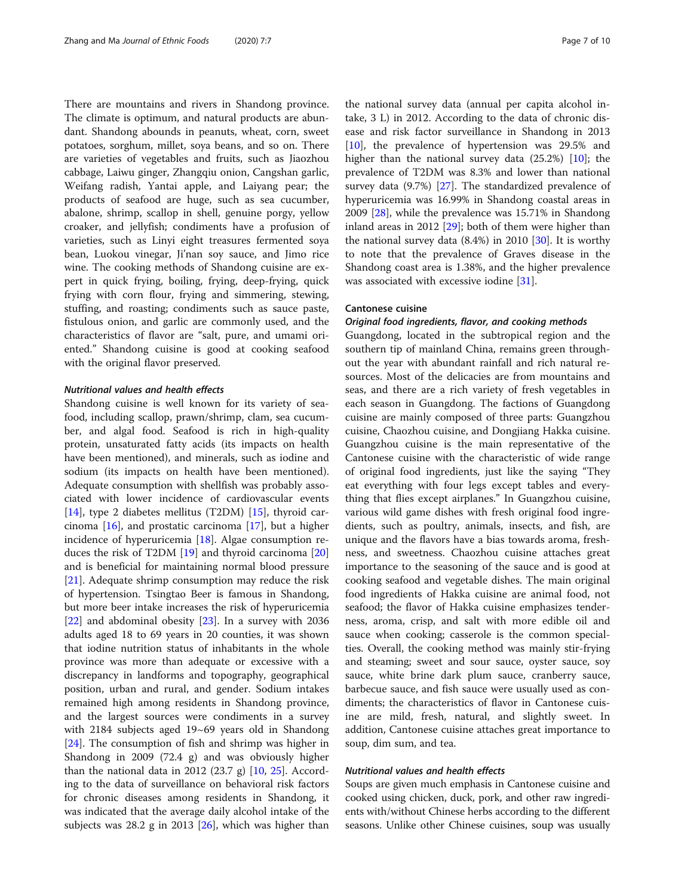There are mountains and rivers in Shandong province. The climate is optimum, and natural products are abundant. Shandong abounds in peanuts, wheat, corn, sweet potatoes, sorghum, millet, soya beans, and so on. There are varieties of vegetables and fruits, such as Jiaozhou cabbage, Laiwu ginger, Zhangqiu onion, Cangshan garlic, Weifang radish, Yantai apple, and Laiyang pear; the products of seafood are huge, such as sea cucumber, abalone, shrimp, scallop in shell, genuine porgy, yellow croaker, and jellyfish; condiments have a profusion of varieties, such as Linyi eight treasures fermented soya bean, Luokou vinegar, Ji'nan soy sauce, and Jimo rice wine. The cooking methods of Shandong cuisine are expert in quick frying, boiling, frying, deep-frying, quick frying with corn flour, frying and simmering, stewing, stuffing, and roasting; condiments such as sauce paste, fistulous onion, and garlic are commonly used, and the characteristics of flavor are "salt, pure, and umami oriented." Shandong cuisine is good at cooking seafood with the original flavor preserved.

# Nutritional values and health effects

Shandong cuisine is well known for its variety of seafood, including scallop, prawn/shrimp, clam, sea cucumber, and algal food. Seafood is rich in high-quality protein, unsaturated fatty acids (its impacts on health have been mentioned), and minerals, such as iodine and sodium (its impacts on health have been mentioned). Adequate consumption with shellfish was probably associated with lower incidence of cardiovascular events [[14\]](#page-8-0), type 2 diabetes mellitus (T2DM) [\[15](#page-8-0)], thyroid carcinoma [[16\]](#page-8-0), and prostatic carcinoma [\[17\]](#page-8-0), but a higher incidence of hyperuricemia [\[18\]](#page-8-0). Algae consumption reduces the risk of T2DM [[19\]](#page-8-0) and thyroid carcinoma [[20](#page-8-0)] and is beneficial for maintaining normal blood pressure [[21\]](#page-8-0). Adequate shrimp consumption may reduce the risk of hypertension. Tsingtao Beer is famous in Shandong, but more beer intake increases the risk of hyperuricemia [[22\]](#page-8-0) and abdominal obesity [[23](#page-8-0)]. In a survey with 2036 adults aged 18 to 69 years in 20 counties, it was shown that iodine nutrition status of inhabitants in the whole province was more than adequate or excessive with a discrepancy in landforms and topography, geographical position, urban and rural, and gender. Sodium intakes remained high among residents in Shandong province, and the largest sources were condiments in a survey with 2184 subjects aged 19~69 years old in Shandong [[24\]](#page-8-0). The consumption of fish and shrimp was higher in Shandong in 2009 (72.4 g) and was obviously higher than the national data in 2012 (23.7 g)  $[10, 25]$  $[10, 25]$  $[10, 25]$ . According to the data of surveillance on behavioral risk factors for chronic diseases among residents in Shandong, it was indicated that the average daily alcohol intake of the subjects was 28.2 g in 2013 [[26](#page-8-0)], which was higher than

the national survey data (annual per capita alcohol intake, 3 L) in 2012. According to the data of chronic disease and risk factor surveillance in Shandong in 2013 [[10\]](#page-8-0), the prevalence of hypertension was 29.5% and higher than the national survey data (25.2%) [[10](#page-8-0)]; the prevalence of T2DM was 8.3% and lower than national survey data (9.7%) [\[27](#page-8-0)]. The standardized prevalence of hyperuricemia was 16.99% in Shandong coastal areas in 2009 [[28\]](#page-8-0), while the prevalence was 15.71% in Shandong inland areas in 2012 [[29\]](#page-8-0); both of them were higher than the national survey data  $(8.4%)$  in 2010 [\[30](#page-8-0)]. It is worthy to note that the prevalence of Graves disease in the Shandong coast area is 1.38%, and the higher prevalence was associated with excessive iodine [[31\]](#page-8-0).

### Cantonese cuisine

#### Original food ingredients, flavor, and cooking methods

Guangdong, located in the subtropical region and the southern tip of mainland China, remains green throughout the year with abundant rainfall and rich natural resources. Most of the delicacies are from mountains and seas, and there are a rich variety of fresh vegetables in each season in Guangdong. The factions of Guangdong cuisine are mainly composed of three parts: Guangzhou cuisine, Chaozhou cuisine, and Dongjiang Hakka cuisine. Guangzhou cuisine is the main representative of the Cantonese cuisine with the characteristic of wide range of original food ingredients, just like the saying "They eat everything with four legs except tables and everything that flies except airplanes." In Guangzhou cuisine, various wild game dishes with fresh original food ingredients, such as poultry, animals, insects, and fish, are unique and the flavors have a bias towards aroma, freshness, and sweetness. Chaozhou cuisine attaches great importance to the seasoning of the sauce and is good at cooking seafood and vegetable dishes. The main original food ingredients of Hakka cuisine are animal food, not seafood; the flavor of Hakka cuisine emphasizes tenderness, aroma, crisp, and salt with more edible oil and sauce when cooking; casserole is the common specialties. Overall, the cooking method was mainly stir-frying and steaming; sweet and sour sauce, oyster sauce, soy sauce, white brine dark plum sauce, cranberry sauce, barbecue sauce, and fish sauce were usually used as condiments; the characteristics of flavor in Cantonese cuisine are mild, fresh, natural, and slightly sweet. In addition, Cantonese cuisine attaches great importance to soup, dim sum, and tea.

# Nutritional values and health effects

Soups are given much emphasis in Cantonese cuisine and cooked using chicken, duck, pork, and other raw ingredients with/without Chinese herbs according to the different seasons. Unlike other Chinese cuisines, soup was usually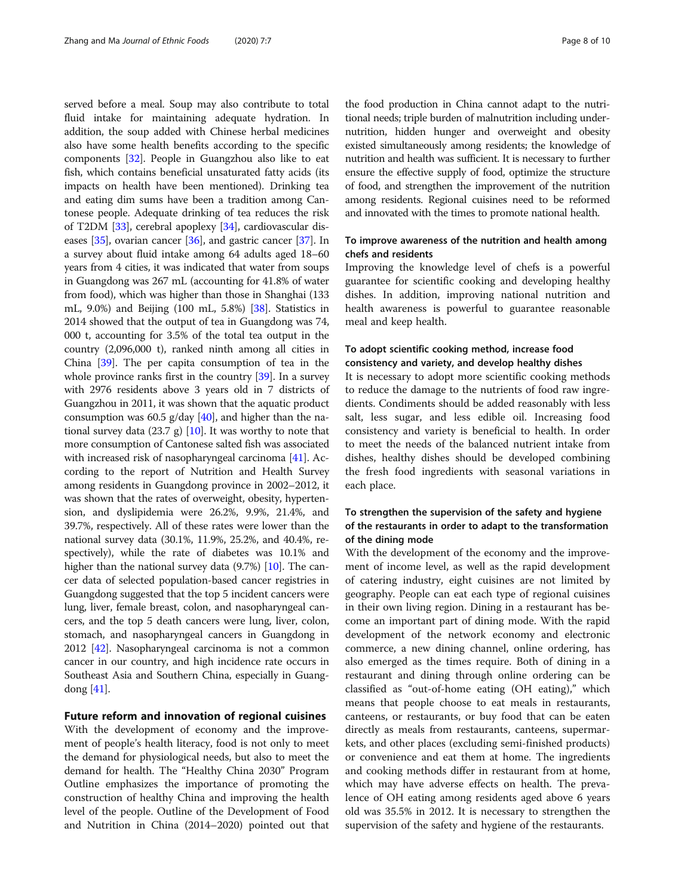served before a meal. Soup may also contribute to total fluid intake for maintaining adequate hydration. In addition, the soup added with Chinese herbal medicines also have some health benefits according to the specific components [[32](#page-8-0)]. People in Guangzhou also like to eat fish, which contains beneficial unsaturated fatty acids (its impacts on health have been mentioned). Drinking tea and eating dim sums have been a tradition among Cantonese people. Adequate drinking of tea reduces the risk of T2DM [[33](#page-8-0)], cerebral apoplexy [\[34\]](#page-8-0), cardiovascular diseases [\[35\]](#page-8-0), ovarian cancer [\[36\]](#page-9-0), and gastric cancer [\[37\]](#page-9-0). In a survey about fluid intake among 64 adults aged 18–60 years from 4 cities, it was indicated that water from soups in Guangdong was 267 mL (accounting for 41.8% of water from food), which was higher than those in Shanghai (133 mL, 9.0%) and Beijing (100 mL, 5.8%) [\[38\]](#page-9-0). Statistics in 2014 showed that the output of tea in Guangdong was 74, 000 t, accounting for 3.5% of the total tea output in the country (2,096,000 t), ranked ninth among all cities in China [[39](#page-9-0)]. The per capita consumption of tea in the whole province ranks first in the country [\[39\]](#page-9-0). In a survey with 2976 residents above 3 years old in 7 districts of Guangzhou in 2011, it was shown that the aquatic product consumption was 60.5 g/day [\[40\]](#page-9-0), and higher than the national survey data  $(23.7 g)$  [\[10\]](#page-8-0). It was worthy to note that more consumption of Cantonese salted fish was associated with increased risk of nasopharyngeal carcinoma [\[41\]](#page-9-0). According to the report of Nutrition and Health Survey among residents in Guangdong province in 2002–2012, it was shown that the rates of overweight, obesity, hypertension, and dyslipidemia were 26.2%, 9.9%, 21.4%, and 39.7%, respectively. All of these rates were lower than the national survey data (30.1%, 11.9%, 25.2%, and 40.4%, respectively), while the rate of diabetes was 10.1% and higher than the national survey data (9.7%) [\[10\]](#page-8-0). The cancer data of selected population-based cancer registries in Guangdong suggested that the top 5 incident cancers were lung, liver, female breast, colon, and nasopharyngeal cancers, and the top 5 death cancers were lung, liver, colon, stomach, and nasopharyngeal cancers in Guangdong in 2012 [[42](#page-9-0)]. Nasopharyngeal carcinoma is not a common cancer in our country, and high incidence rate occurs in Southeast Asia and Southern China, especially in Guangdong [\[41](#page-9-0)].

# Future reform and innovation of regional cuisines

With the development of economy and the improvement of people's health literacy, food is not only to meet the demand for physiological needs, but also to meet the demand for health. The "Healthy China 2030" Program Outline emphasizes the importance of promoting the construction of healthy China and improving the health level of the people. Outline of the Development of Food and Nutrition in China (2014–2020) pointed out that

the food production in China cannot adapt to the nutritional needs; triple burden of malnutrition including undernutrition, hidden hunger and overweight and obesity existed simultaneously among residents; the knowledge of nutrition and health was sufficient. It is necessary to further ensure the effective supply of food, optimize the structure of food, and strengthen the improvement of the nutrition among residents. Regional cuisines need to be reformed and innovated with the times to promote national health.

# To improve awareness of the nutrition and health among chefs and residents

Improving the knowledge level of chefs is a powerful guarantee for scientific cooking and developing healthy dishes. In addition, improving national nutrition and health awareness is powerful to guarantee reasonable meal and keep health.

# To adopt scientific cooking method, increase food consistency and variety, and develop healthy dishes

It is necessary to adopt more scientific cooking methods to reduce the damage to the nutrients of food raw ingredients. Condiments should be added reasonably with less salt, less sugar, and less edible oil. Increasing food consistency and variety is beneficial to health. In order to meet the needs of the balanced nutrient intake from dishes, healthy dishes should be developed combining the fresh food ingredients with seasonal variations in each place.

# To strengthen the supervision of the safety and hygiene of the restaurants in order to adapt to the transformation of the dining mode

With the development of the economy and the improvement of income level, as well as the rapid development of catering industry, eight cuisines are not limited by geography. People can eat each type of regional cuisines in their own living region. Dining in a restaurant has become an important part of dining mode. With the rapid development of the network economy and electronic commerce, a new dining channel, online ordering, has also emerged as the times require. Both of dining in a restaurant and dining through online ordering can be classified as "out-of-home eating (OH eating)," which means that people choose to eat meals in restaurants, canteens, or restaurants, or buy food that can be eaten directly as meals from restaurants, canteens, supermarkets, and other places (excluding semi-finished products) or convenience and eat them at home. The ingredients and cooking methods differ in restaurant from at home, which may have adverse effects on health. The prevalence of OH eating among residents aged above 6 years old was 35.5% in 2012. It is necessary to strengthen the supervision of the safety and hygiene of the restaurants.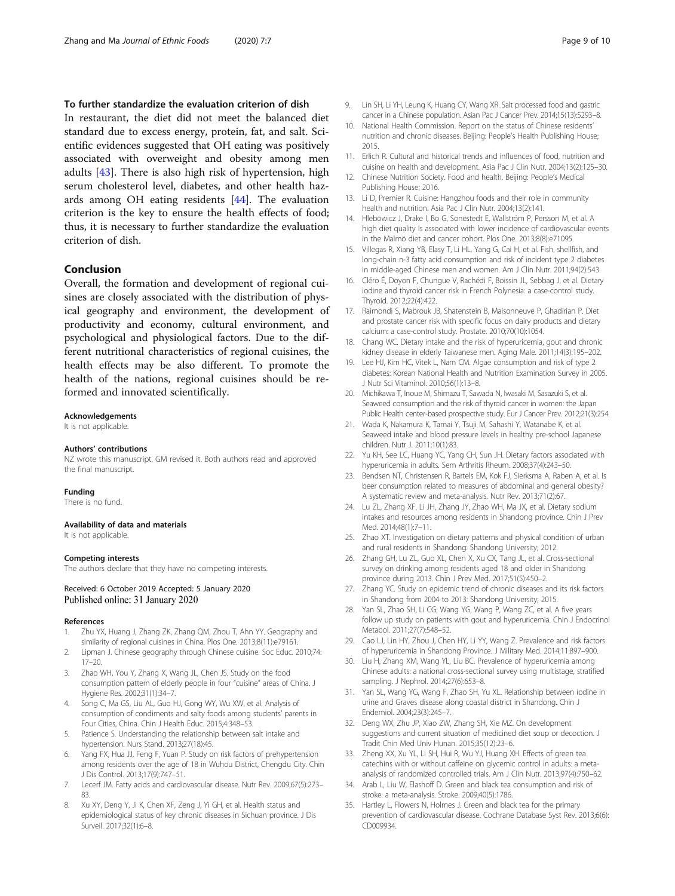### <span id="page-8-0"></span>To further standardize the evaluation criterion of dish

In restaurant, the diet did not meet the balanced diet standard due to excess energy, protein, fat, and salt. Scientific evidences suggested that OH eating was positively associated with overweight and obesity among men adults [[43\]](#page-9-0). There is also high risk of hypertension, high serum cholesterol level, diabetes, and other health hazards among OH eating residents [[44\]](#page-9-0). The evaluation criterion is the key to ensure the health effects of food; thus, it is necessary to further standardize the evaluation criterion of dish.

# Conclusion

Overall, the formation and development of regional cuisines are closely associated with the distribution of physical geography and environment, the development of productivity and economy, cultural environment, and psychological and physiological factors. Due to the different nutritional characteristics of regional cuisines, the health effects may be also different. To promote the health of the nations, regional cuisines should be reformed and innovated scientifically.

#### Acknowledgements

It is not applicable.

#### Authors' contributions

NZ wrote this manuscript. GM revised it. Both authors read and approved the final manuscript.

#### Funding

There is no fund.

#### Availability of data and materials

It is not applicable.

#### Competing interests

The authors declare that they have no competing interests.

#### Received: 6 October 2019 Accepted: 5 January 2020 Published online: 31 January 2020

#### References

- Zhu YX, Huang J, Zhang ZK, Zhang QM, Zhou T, Ahn YY. Geography and similarity of regional cuisines in China. Plos One. 2013;8(11):e79161.
- 2. Lipman J. Chinese geography through Chinese cuisine. Soc Educ. 2010;74: 17–20.
- 3. Zhao WH, You Y, Zhang X, Wang JL, Chen JS. Study on the food consumption pattern of elderly people in four "cuisine" areas of China. J Hygiene Res. 2002;31(1):34–7.
- Song C, Ma GS, Liu AL, Guo HJ, Gong WY, Wu XW, et al. Analysis of consumption of condiments and salty foods among students' parents in Four Cities, China. Chin J Health Educ. 2015;4:348–53.
- Patience S. Understanding the relationship between salt intake and hypertension. Nurs Stand. 2013;27(18):45.
- 6. Yang FX, Hua JJ, Feng F, Yuan P. Study on risk factors of prehypertension among residents over the age of 18 in Wuhou District, Chengdu City. Chin J Dis Control. 2013;17(9):747–51.
- 7. Lecerf JM. Fatty acids and cardiovascular disease. Nutr Rev. 2009;67(5):273– 83.
- Xu XY, Deng Y, Ji K, Chen XF, Zeng J, Yi GH, et al. Health status and epidemiological status of key chronic diseases in Sichuan province. J Dis Surveil. 2017;32(1):6–8.
- 9. Lin SH, Li YH, Leung K, Huang CY, Wang XR. Salt processed food and gastric cancer in a Chinese population. Asian Pac J Cancer Prev. 2014;15(13):5293–8.
- 10. National Health Commission. Report on the status of Chinese residents' nutrition and chronic diseases. Beijing: People's Health Publishing House; 2015.
- 11. Erlich R. Cultural and historical trends and influences of food, nutrition and cuisine on health and development. Asia Pac J Clin Nutr. 2004;13(2):125–30.
- 12. Chinese Nutrition Society. Food and health. Beijing: People's Medical Publishing House; 2016.
- 13. Li D, Premier R, Cuisine: Hangzhou foods and their role in community health and nutrition. Asia Pac J Clin Nutr. 2004;13(2):141.
- 14. Hlebowicz J, Drake I, Bo G, Sonestedt E, Wallström P, Persson M, et al. A high diet quality Is associated with lower incidence of cardiovascular events in the Malmö diet and cancer cohort. Plos One. 2013;8(8):e71095.
- 15. Villegas R, Xiang YB, Elasy T, Li HL, Yang G, Cai H, et al. Fish, shellfish, and long-chain n-3 fatty acid consumption and risk of incident type 2 diabetes in middle-aged Chinese men and women. Am J Clin Nutr. 2011;94(2):543.
- 16. Cléro É, Doyon F, Chungue V, Rachédi F, Boissin JL, Sebbag J, et al. Dietary iodine and thyroid cancer risk in French Polynesia: a case-control study. Thyroid. 2012;22(4):422.
- 17. Raimondi S, Mabrouk JB, Shatenstein B, Maisonneuve P, Ghadirian P. Diet and prostate cancer risk with specific focus on dairy products and dietary calcium: a case-control study. Prostate. 2010;70(10):1054.
- 18. Chang WC. Dietary intake and the risk of hyperuricemia, gout and chronic kidney disease in elderly Taiwanese men. Aging Male. 2011;14(3):195–202.
- 19. Lee HJ, Kim HC, Vitek L, Nam CM. Algae consumption and risk of type 2 diabetes: Korean National Health and Nutrition Examination Survey in 2005. J Nutr Sci Vitaminol. 2010;56(1):13–8.
- 20. Michikawa T, Inoue M, Shimazu T, Sawada N, Iwasaki M, Sasazuki S, et al. Seaweed consumption and the risk of thyroid cancer in women: the Japan Public Health center-based prospective study. Eur J Cancer Prev. 2012;21(3):254.
- 21. Wada K, Nakamura K, Tamai Y, Tsuji M, Sahashi Y, Watanabe K, et al. Seaweed intake and blood pressure levels in healthy pre-school Japanese children. Nutr J. 2011;10(1):83.
- 22. Yu KH, See LC, Huang YC, Yang CH, Sun JH. Dietary factors associated with hyperuricemia in adults. Sem Arthritis Rheum. 2008;37(4):243–50.
- 23. Bendsen NT, Christensen R, Bartels EM, Kok FJ, Sierksma A, Raben A, et al. Is beer consumption related to measures of abdominal and general obesity? A systematic review and meta-analysis. Nutr Rev. 2013;71(2):67.
- 24. Lu ZL, Zhang XF, Li JH, Zhang JY, Zhao WH, Ma JX, et al. Dietary sodium intakes and resources among residents in Shandong province. Chin J Prev Med. 2014;48(1):7–11.
- 25. Zhao XT. Investigation on dietary patterns and physical condition of urban and rural residents in Shandong: Shandong University; 2012.
- 26. Zhang GH, Lu ZL, Guo XL, Chen X, Xu CX, Tang JL, et al. Cross-sectional survey on drinking among residents aged 18 and older in Shandong province during 2013. Chin J Prev Med. 2017;51(5):450–2.
- 27. Zhang YC. Study on epidemic trend of chronic diseases and its risk factors in Shandong from 2004 to 2013: Shandong University; 2015.
- 28. Yan SL, Zhao SH, Li CG, Wang YG, Wang P, Wang ZC, et al. A five years follow up study on patients with gout and hyperuricemia. Chin J Endocrinol Metabol. 2011;27(7):548–52.
- 29. Cao LJ, Lin HY, Zhou J, Chen HY, Li YY, Wang Z. Prevalence and risk factors of hyperuricemia in Shandong Province. J Military Med. 2014;11:897–900.
- 30. Liu H, Zhang XM, Wang YL, Liu BC. Prevalence of hyperuricemia among Chinese adults: a national cross-sectional survey using multistage, stratified sampling. J Nephrol. 2014;27(6):653–8.
- 31. Yan SL, Wang YG, Wang F, Zhao SH, Yu XL. Relationship between iodine in urine and Graves disease along coastal district in Shandong. Chin J Endemiol. 2004;23(3):245–7.
- 32. Deng WX, Zhu JP, Xiao ZW, Zhang SH, Xie MZ. On development suggestions and current situation of medicined diet soup or decoction. J Tradit Chin Med Univ Hunan. 2015;35(12):23–6.
- 33. Zheng XX, Xu YL, Li SH, Hui R, Wu YJ, Huang XH. Effects of green tea catechins with or without caffeine on glycemic control in adults: a metaanalysis of randomized controlled trials. Am J Clin Nutr. 2013;97(4):750–62.
- 34. Arab L, Liu W, Elashoff D. Green and black tea consumption and risk of stroke: a meta-analysis. Stroke. 2009;40(5):1786.
- 35. Hartley L, Flowers N, Holmes J. Green and black tea for the primary prevention of cardiovascular disease. Cochrane Database Syst Rev. 2013;6(6): CD009934.